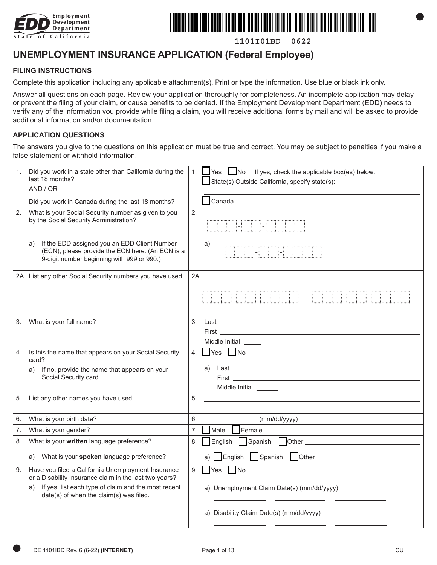



**1101I01BD 0622**

# **UNEMPLOYMENT INSURANCE APPLICATION (Federal Employee)**

#### **FILING INSTRUCTIONS**

Complete this application including any applicable attachment(s). Print or type the information. Use blue or black ink only.

Answer all questions on each page. Review your application thoroughly for completeness. An incomplete application may delay or prevent the filing of your claim, or cause benefits to be denied. If the Employment Development Department (EDD) needs to verify any of the information you provide while filing a claim, you will receive additional forms by mail and will be asked to provide additional information and/or documentation.

#### **APPLICATION QUESTIONS**

The answers you give to the questions on this application must be true and correct. You may be subject to penalties if you make a false statement or withhold information.

| 1. | Did you work in a state other than California during the<br>last 18 months?<br>AND / OR                                                              | 1. Yes Mo If yes, check the applicable box(es) below:<br>State(s) Outside California, specify state(s): _________________________________                                                                                                |
|----|------------------------------------------------------------------------------------------------------------------------------------------------------|------------------------------------------------------------------------------------------------------------------------------------------------------------------------------------------------------------------------------------------|
|    | Did you work in Canada during the last 18 months?                                                                                                    | $\exists$ Canada                                                                                                                                                                                                                         |
| 2. | What is your Social Security number as given to you<br>by the Social Security Administration?                                                        | 2.<br><b>I-DE LE LE LE</b>                                                                                                                                                                                                               |
|    | If the EDD assigned you an EDD Client Number<br>a)<br>(ECN), please provide the ECN here. (An ECN is a<br>9-digit number beginning with 999 or 990.) | a)<br><u> ETA ETA ETA ETA ERRETA ERRETA ETA ERRETA ETA ERRETA ETA ERRETA ETA ERRETA ETA ERRETA ERRETA ERRETA ERRETA ER</u>                                                                                                               |
|    | 2A. List any other Social Security numbers you have used.                                                                                            | 2A.                                                                                                                                                                                                                                      |
|    |                                                                                                                                                      | THE THEFT I<br><b>TIME THE</b>                                                                                                                                                                                                           |
| 3. | What is your full name?                                                                                                                              | 3.<br>Middle Initial _____                                                                                                                                                                                                               |
| 4. | Is this the name that appears on your Social Security<br>card?                                                                                       | $\Box$ Yes $\Box$ No<br>4.                                                                                                                                                                                                               |
|    | If no, provide the name that appears on your<br>a)<br>Social Security card.                                                                          | a)<br><b>First Executive Contract Contract Contract Contract Contract Contract Contract Contract Contract Contract Contract Contract Contract Contract Contract Contract Contract Contract Contract Contract Contract Contract Contr</b> |
| 5. | List any other names you have used.                                                                                                                  | 5.                                                                                                                                                                                                                                       |
| 6. | What is your birth date?                                                                                                                             | 6.<br>$\mu$ (mm/dd/yyyy)                                                                                                                                                                                                                 |
| 7. | What is your gender?                                                                                                                                 | Male Female<br>7.                                                                                                                                                                                                                        |
| 8. | What is your written language preference?                                                                                                            | English Spanish<br>8.                                                                                                                                                                                                                    |
|    | a) What is your spoken language preference?                                                                                                          |                                                                                                                                                                                                                                          |
| 9. | Have you filed a California Unemployment Insurance<br>or a Disability Insurance claim in the last two years?                                         | $\Box$ Yes $\Box$ No<br>9.                                                                                                                                                                                                               |
|    | If yes, list each type of claim and the most recent<br>a)<br>date(s) of when the claim(s) was filed.                                                 | a) Unemployment Claim Date(s) (mm/dd/yyyy)                                                                                                                                                                                               |
|    |                                                                                                                                                      | a) Disability Claim Date(s) (mm/dd/yyyy)                                                                                                                                                                                                 |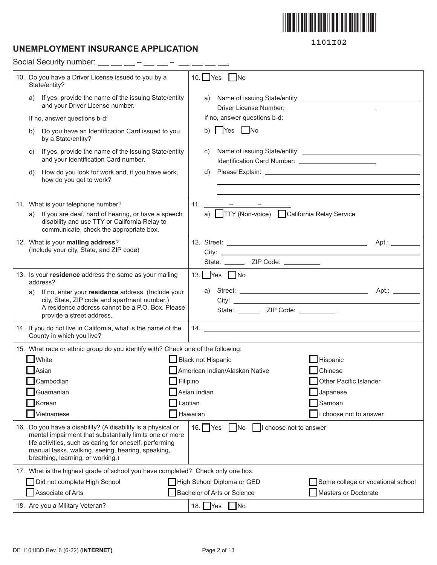

# **UNEMPLOYMENT INSURANCE APPLICATION**

Social Security number:  $\_\_$   $\_\_$  –  $\_\_$  –  $\_$  –  $\_$  –  $\_$  –  $\_$ 

| 10. Do you have a Driver License issued to you by a<br>State/entity?                                                                                                                                                                                                         | $10.$ Yes<br>$\blacksquare$ No                                  |
|------------------------------------------------------------------------------------------------------------------------------------------------------------------------------------------------------------------------------------------------------------------------------|-----------------------------------------------------------------|
| If yes, provide the name of the issuing State/entity<br>a)<br>and your Driver License number.                                                                                                                                                                                | a)                                                              |
| If no, answer questions b-d:                                                                                                                                                                                                                                                 | If no, answer questions b-d:                                    |
| Do you have an Identification Card issued to you<br>b)<br>by a State/entity?                                                                                                                                                                                                 | b) Yes No                                                       |
| If yes, provide the name of the issuing State/entity<br>C)<br>and your Identification Card number.                                                                                                                                                                           | C)<br>Identification Card Number: 2008 2010 2010 2012 2022 2023 |
| How do you look for work and, if you have work,<br>d)<br>how do you get to work?                                                                                                                                                                                             | d)                                                              |
| 11. What is your telephone number?                                                                                                                                                                                                                                           | 11. $  -$                                                       |
| If you are deaf, hard of hearing, or have a speech<br>a)                                                                                                                                                                                                                     | a) TTY (Non-voice) California Relay Service                     |
| disability and use TTY or California Relay to<br>communicate, check the appropriate box.                                                                                                                                                                                     |                                                                 |
| 12. What is your mailing address?                                                                                                                                                                                                                                            |                                                                 |
| (Include your city, State, and ZIP code)                                                                                                                                                                                                                                     |                                                                 |
|                                                                                                                                                                                                                                                                              | State: ________ ZIP Code: __________                            |
| 13. Is your residence address the same as your mailing<br>address?                                                                                                                                                                                                           | 13. Yes No                                                      |
| If no, enter your residence address. (Include your<br>a)                                                                                                                                                                                                                     | a)                                                              |
| city, State, ZIP code and apartment number.)<br>A residence address cannot be a P.O. Box. Please                                                                                                                                                                             |                                                                 |
| provide a street address.                                                                                                                                                                                                                                                    | State: _________ ZIP Code: __________                           |
| 14. If you do not live in California, what is the name of the<br>County in which you live?                                                                                                                                                                                   |                                                                 |
| 15. What race or ethnic group do you identify with? Check one of the following:                                                                                                                                                                                              |                                                                 |
| White                                                                                                                                                                                                                                                                        | $\blacksquare$ Hispanic<br>Black not Hispanic                   |
| Asian                                                                                                                                                                                                                                                                        | American Indian/Alaskan Native<br><b>T</b> Chinese              |
| Cambodian                                                                                                                                                                                                                                                                    | Filipino<br>Other Pacific Islander                              |
| Guamanian                                                                                                                                                                                                                                                                    | Asian Indian<br>Japanese                                        |
| Korean                                                                                                                                                                                                                                                                       | Laotian<br>Samoan                                               |
| Vietnamese                                                                                                                                                                                                                                                                   | Hawaiian<br>choose not to answer                                |
| 16. Do you have a disability? (A disability is a physical or<br>mental impairment that substantially limits one or more<br>life activities, such as caring for oneself, performing<br>manual tasks, walking, seeing, hearing, speaking,<br>breathing, learning, or working.) | 16. $Yes$<br>No<br>  I choose not to answer                     |
| 17. What is the highest grade of school you have completed? Check only one box.                                                                                                                                                                                              |                                                                 |
| Did not complete High School                                                                                                                                                                                                                                                 | High School Diploma or GED<br>Some college or vocational school |
| Associate of Arts                                                                                                                                                                                                                                                            | Bachelor of Arts or Science<br>Masters or Doctorate             |
| 18. Are you a Military Veteran?                                                                                                                                                                                                                                              | 18. $Yes$ No                                                    |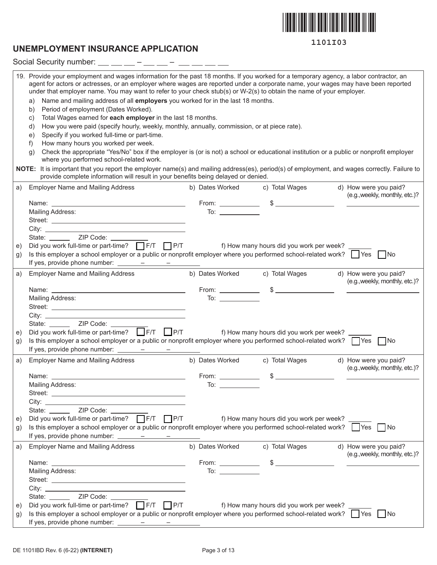

## **UNEMPLOYMENT INSURANCE APPLICATION**

|    | Social Security number: $\frac{1}{1}$ $\frac{1}{1}$ $\frac{1}{1}$ $\frac{1}{1}$ $\frac{1}{1}$ $\frac{1}{1}$ $\frac{1}{1}$ $\frac{1}{1}$ $\frac{1}{1}$ $\frac{1}{1}$ $\frac{1}{1}$ $\frac{1}{1}$ $\frac{1}{1}$ $\frac{1}{1}$ $\frac{1}{1}$ $\frac{1}{1}$ $\frac{1}{1}$ $\frac{1}{1}$ $\frac{1}{1}$ $\frac{1}{1$                                                                                                                                                                                                                                                                                                                                                                                                                                                                                                                                                                                                                                                                                                                                                                                                                                                                                                                                                          |                     |                                            |                                                                                                                                                                                                                                      |
|----|-------------------------------------------------------------------------------------------------------------------------------------------------------------------------------------------------------------------------------------------------------------------------------------------------------------------------------------------------------------------------------------------------------------------------------------------------------------------------------------------------------------------------------------------------------------------------------------------------------------------------------------------------------------------------------------------------------------------------------------------------------------------------------------------------------------------------------------------------------------------------------------------------------------------------------------------------------------------------------------------------------------------------------------------------------------------------------------------------------------------------------------------------------------------------------------------------------------------------------------------------------------------------|---------------------|--------------------------------------------|--------------------------------------------------------------------------------------------------------------------------------------------------------------------------------------------------------------------------------------|
|    | 19. Provide your employment and wages information for the past 18 months. If you worked for a temporary agency, a labor contractor, an<br>agent for actors or actresses, or an employer where wages are reported under a corporate name, your wages may have been reported<br>under that employer name. You may want to refer to your check stub(s) or W-2(s) to obtain the name of your employer.<br>Name and mailing address of all employers you worked for in the last 18 months.<br>a)<br>Period of employment (Dates Worked).<br>b)<br>Total Wages earned for each employer in the last 18 months.<br>$\mathsf{C}$ )<br>How you were paid (specify hourly, weekly, monthly, annually, commission, or at piece rate).<br>d)<br>Specify if you worked full-time or part-time.<br>e)<br>How many hours you worked per week.<br>f)<br>Check the appropriate "Yes/No" box if the employer is (or is not) a school or educational institution or a public or nonprofit employer<br>g)<br>where you performed school-related work.<br>NOTE: It is important that you report the employer name(s) and mailing address(es), period(s) of employment, and wages correctly. Failure to<br>provide complete information will result in your benefits being delayed or denied. |                     |                                            |                                                                                                                                                                                                                                      |
| a) | <b>Employer Name and Mailing Address</b>                                                                                                                                                                                                                                                                                                                                                                                                                                                                                                                                                                                                                                                                                                                                                                                                                                                                                                                                                                                                                                                                                                                                                                                                                                | b) Dates Worked     | c) Total Wages                             | d) How were you paid?                                                                                                                                                                                                                |
|    |                                                                                                                                                                                                                                                                                                                                                                                                                                                                                                                                                                                                                                                                                                                                                                                                                                                                                                                                                                                                                                                                                                                                                                                                                                                                         |                     |                                            | (e.g., weekly, monthly, etc.)?                                                                                                                                                                                                       |
|    |                                                                                                                                                                                                                                                                                                                                                                                                                                                                                                                                                                                                                                                                                                                                                                                                                                                                                                                                                                                                                                                                                                                                                                                                                                                                         |                     |                                            |                                                                                                                                                                                                                                      |
|    | Mailing Address:                                                                                                                                                                                                                                                                                                                                                                                                                                                                                                                                                                                                                                                                                                                                                                                                                                                                                                                                                                                                                                                                                                                                                                                                                                                        |                     |                                            |                                                                                                                                                                                                                                      |
|    |                                                                                                                                                                                                                                                                                                                                                                                                                                                                                                                                                                                                                                                                                                                                                                                                                                                                                                                                                                                                                                                                                                                                                                                                                                                                         |                     |                                            |                                                                                                                                                                                                                                      |
|    | State: ________ ZIP Code: ______                                                                                                                                                                                                                                                                                                                                                                                                                                                                                                                                                                                                                                                                                                                                                                                                                                                                                                                                                                                                                                                                                                                                                                                                                                        |                     |                                            |                                                                                                                                                                                                                                      |
| e) | Did you work full-time or part-time? F/T F/T P/T f) How many hours did you work per week?                                                                                                                                                                                                                                                                                                                                                                                                                                                                                                                                                                                                                                                                                                                                                                                                                                                                                                                                                                                                                                                                                                                                                                               |                     |                                            |                                                                                                                                                                                                                                      |
| g) | Is this employer a school employer or a public or nonprofit employer where you performed school-related work? $\Box$ Yes $\Box$ No                                                                                                                                                                                                                                                                                                                                                                                                                                                                                                                                                                                                                                                                                                                                                                                                                                                                                                                                                                                                                                                                                                                                      |                     |                                            |                                                                                                                                                                                                                                      |
|    |                                                                                                                                                                                                                                                                                                                                                                                                                                                                                                                                                                                                                                                                                                                                                                                                                                                                                                                                                                                                                                                                                                                                                                                                                                                                         |                     |                                            |                                                                                                                                                                                                                                      |
| a) | <b>Employer Name and Mailing Address</b>                                                                                                                                                                                                                                                                                                                                                                                                                                                                                                                                                                                                                                                                                                                                                                                                                                                                                                                                                                                                                                                                                                                                                                                                                                |                     | b) Dates Worked c) Total Wages             | d) How were you paid?                                                                                                                                                                                                                |
|    |                                                                                                                                                                                                                                                                                                                                                                                                                                                                                                                                                                                                                                                                                                                                                                                                                                                                                                                                                                                                                                                                                                                                                                                                                                                                         |                     |                                            | (e.g., weekly, monthly, etc.)?                                                                                                                                                                                                       |
|    | Mailing Address:                                                                                                                                                                                                                                                                                                                                                                                                                                                                                                                                                                                                                                                                                                                                                                                                                                                                                                                                                                                                                                                                                                                                                                                                                                                        |                     |                                            | <u> The Common State Common</u>                                                                                                                                                                                                      |
|    |                                                                                                                                                                                                                                                                                                                                                                                                                                                                                                                                                                                                                                                                                                                                                                                                                                                                                                                                                                                                                                                                                                                                                                                                                                                                         |                     |                                            |                                                                                                                                                                                                                                      |
|    |                                                                                                                                                                                                                                                                                                                                                                                                                                                                                                                                                                                                                                                                                                                                                                                                                                                                                                                                                                                                                                                                                                                                                                                                                                                                         |                     |                                            |                                                                                                                                                                                                                                      |
|    | State: ________ ZIP Code: ______                                                                                                                                                                                                                                                                                                                                                                                                                                                                                                                                                                                                                                                                                                                                                                                                                                                                                                                                                                                                                                                                                                                                                                                                                                        |                     |                                            |                                                                                                                                                                                                                                      |
| e) | Did you work full-time or part-time? $\Box$ F/T $\Box$ P/T                                                                                                                                                                                                                                                                                                                                                                                                                                                                                                                                                                                                                                                                                                                                                                                                                                                                                                                                                                                                                                                                                                                                                                                                              |                     | f) How many hours did you work per week?   |                                                                                                                                                                                                                                      |
| g) | Is this employer a school employer or a public or nonprofit employer where you performed school-related work? TYes TNo                                                                                                                                                                                                                                                                                                                                                                                                                                                                                                                                                                                                                                                                                                                                                                                                                                                                                                                                                                                                                                                                                                                                                  |                     |                                            |                                                                                                                                                                                                                                      |
|    |                                                                                                                                                                                                                                                                                                                                                                                                                                                                                                                                                                                                                                                                                                                                                                                                                                                                                                                                                                                                                                                                                                                                                                                                                                                                         |                     |                                            |                                                                                                                                                                                                                                      |
| a) | <b>Employer Name and Mailing Address</b>                                                                                                                                                                                                                                                                                                                                                                                                                                                                                                                                                                                                                                                                                                                                                                                                                                                                                                                                                                                                                                                                                                                                                                                                                                | b) Dates Worked     | c) Total Wages                             | d) How were you paid?<br>(e.g., weekly, monthly, etc.)?                                                                                                                                                                              |
|    | Name:                                                                                                                                                                                                                                                                                                                                                                                                                                                                                                                                                                                                                                                                                                                                                                                                                                                                                                                                                                                                                                                                                                                                                                                                                                                                   | From: $\_\_$        | $\frac{1}{2}$                              |                                                                                                                                                                                                                                      |
|    | Mailing Address:                                                                                                                                                                                                                                                                                                                                                                                                                                                                                                                                                                                                                                                                                                                                                                                                                                                                                                                                                                                                                                                                                                                                                                                                                                                        | To: $\qquad \qquad$ |                                            |                                                                                                                                                                                                                                      |
|    |                                                                                                                                                                                                                                                                                                                                                                                                                                                                                                                                                                                                                                                                                                                                                                                                                                                                                                                                                                                                                                                                                                                                                                                                                                                                         |                     |                                            |                                                                                                                                                                                                                                      |
|    |                                                                                                                                                                                                                                                                                                                                                                                                                                                                                                                                                                                                                                                                                                                                                                                                                                                                                                                                                                                                                                                                                                                                                                                                                                                                         |                     |                                            |                                                                                                                                                                                                                                      |
|    | State: ________ ZIP Code: ______                                                                                                                                                                                                                                                                                                                                                                                                                                                                                                                                                                                                                                                                                                                                                                                                                                                                                                                                                                                                                                                                                                                                                                                                                                        |                     |                                            |                                                                                                                                                                                                                                      |
| e) | Did you work full-time or part-time? $\Box$ F/T $\Box$ P/T<br>Is this employer a school employer or a public or nonprofit employer where you performed school-related work? $\Box$ Yes $\Box$ No                                                                                                                                                                                                                                                                                                                                                                                                                                                                                                                                                                                                                                                                                                                                                                                                                                                                                                                                                                                                                                                                        |                     | f) How many hours did you work per week? _ |                                                                                                                                                                                                                                      |
| g) |                                                                                                                                                                                                                                                                                                                                                                                                                                                                                                                                                                                                                                                                                                                                                                                                                                                                                                                                                                                                                                                                                                                                                                                                                                                                         |                     |                                            |                                                                                                                                                                                                                                      |
| a) | <b>Employer Name and Mailing Address</b>                                                                                                                                                                                                                                                                                                                                                                                                                                                                                                                                                                                                                                                                                                                                                                                                                                                                                                                                                                                                                                                                                                                                                                                                                                | b) Dates Worked     | c) Total Wages                             | d) How were you paid?                                                                                                                                                                                                                |
|    |                                                                                                                                                                                                                                                                                                                                                                                                                                                                                                                                                                                                                                                                                                                                                                                                                                                                                                                                                                                                                                                                                                                                                                                                                                                                         |                     |                                            | (e.g., weekly, monthly, etc.)?                                                                                                                                                                                                       |
|    |                                                                                                                                                                                                                                                                                                                                                                                                                                                                                                                                                                                                                                                                                                                                                                                                                                                                                                                                                                                                                                                                                                                                                                                                                                                                         |                     |                                            | <u> 1989 - Johann Harry Harry Harry Harry Harry Harry Harry Harry Harry Harry Harry Harry Harry Harry Harry Harry Harry Harry Harry Harry Harry Harry Harry Harry Harry Harry Harry Harry Harry Harry Harry Harry Harry Harry Ha</u> |
|    | Mailing Address:                                                                                                                                                                                                                                                                                                                                                                                                                                                                                                                                                                                                                                                                                                                                                                                                                                                                                                                                                                                                                                                                                                                                                                                                                                                        | $\overline{10}$ :   |                                            |                                                                                                                                                                                                                                      |
|    |                                                                                                                                                                                                                                                                                                                                                                                                                                                                                                                                                                                                                                                                                                                                                                                                                                                                                                                                                                                                                                                                                                                                                                                                                                                                         |                     |                                            |                                                                                                                                                                                                                                      |
|    | State: _______ ZIP Code: __________                                                                                                                                                                                                                                                                                                                                                                                                                                                                                                                                                                                                                                                                                                                                                                                                                                                                                                                                                                                                                                                                                                                                                                                                                                     |                     |                                            |                                                                                                                                                                                                                                      |
| e) | Did you work full-time or part-time? $\Box$ F/T $\Box$ P/T                                                                                                                                                                                                                                                                                                                                                                                                                                                                                                                                                                                                                                                                                                                                                                                                                                                                                                                                                                                                                                                                                                                                                                                                              |                     | f) How many hours did you work per week?   |                                                                                                                                                                                                                                      |
| g) | Is this employer a school employer or a public or nonprofit employer where you performed school-related work? $\Box$ Yes $\Box$ No                                                                                                                                                                                                                                                                                                                                                                                                                                                                                                                                                                                                                                                                                                                                                                                                                                                                                                                                                                                                                                                                                                                                      |                     |                                            |                                                                                                                                                                                                                                      |
|    | If yes, provide phone number: $\frac{\qquad \qquad - \qquad \qquad - \qquad \qquad - \qquad \qquad }{\qquad \qquad - \qquad \qquad - \qquad \qquad - \qquad \qquad }$                                                                                                                                                                                                                                                                                                                                                                                                                                                                                                                                                                                                                                                                                                                                                                                                                                                                                                                                                                                                                                                                                                   |                     |                                            |                                                                                                                                                                                                                                      |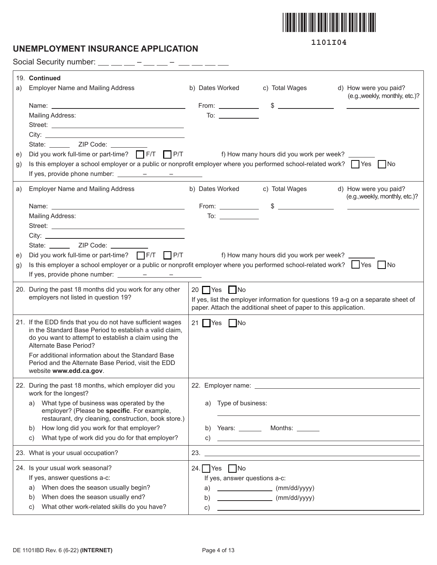

## **UNEMPLOYMENT INSURANCE APPLICATION**

**1101I04**

Social Security number:  $\_\_$   $\_\_$  –  $\_\_$  –  $\_$  –  $\_$  –  $\_$  –  $\_$ 

|    | 19. Continued                                                                                                                      |                               |                                                                                                                       |                                                                                   |
|----|------------------------------------------------------------------------------------------------------------------------------------|-------------------------------|-----------------------------------------------------------------------------------------------------------------------|-----------------------------------------------------------------------------------|
| a) | <b>Employer Name and Mailing Address</b>                                                                                           | b) Dates Worked               | c) Total Wages                                                                                                        | d) How were you paid?                                                             |
|    |                                                                                                                                    |                               | From: $\qquad \qquad$ \$ $\qquad \qquad$                                                                              | (e.g., weekly, monthly, etc.)?                                                    |
|    | Mailing Address:                                                                                                                   |                               |                                                                                                                       |                                                                                   |
|    |                                                                                                                                    |                               |                                                                                                                       |                                                                                   |
|    |                                                                                                                                    |                               |                                                                                                                       |                                                                                   |
|    |                                                                                                                                    |                               |                                                                                                                       |                                                                                   |
| e) | Did you work full-time or part-time? FIT FIT PIT f) How many hours did you work per week?                                          |                               |                                                                                                                       |                                                                                   |
| g) | Is this employer a school employer or a public or nonprofit employer where you performed school-related work? $\Box$ Yes $\Box$ No |                               |                                                                                                                       |                                                                                   |
|    |                                                                                                                                    |                               |                                                                                                                       |                                                                                   |
| a) | <b>Employer Name and Mailing Address</b>                                                                                           |                               | b) Dates Worked c) Total Wages                                                                                        | d) How were you paid?<br>(e.g., weekly, monthly, etc.)?                           |
|    |                                                                                                                                    |                               | From: $\qquad \qquad$ \$ $\qquad \qquad$                                                                              |                                                                                   |
|    | Mailing Address:                                                                                                                   |                               |                                                                                                                       |                                                                                   |
|    |                                                                                                                                    |                               |                                                                                                                       |                                                                                   |
|    |                                                                                                                                    |                               |                                                                                                                       |                                                                                   |
|    | State: <u>ZIP Code:</u>                                                                                                            |                               |                                                                                                                       |                                                                                   |
| e) | Did you work full-time or part-time? FIT FIT PIT 6. The f) How many hours did you work per week?                                   |                               |                                                                                                                       |                                                                                   |
| g) | Is this employer a school employer or a public or nonprofit employer where you performed school-related work? $\Box$ Yes $\Box$ No |                               |                                                                                                                       |                                                                                   |
|    |                                                                                                                                    |                               |                                                                                                                       |                                                                                   |
|    | 20. During the past 18 months did you work for any other                                                                           | $20$ Yes $\Box$ No            |                                                                                                                       |                                                                                   |
|    | employers not listed in question 19?                                                                                               |                               |                                                                                                                       | If yes, list the employer information for questions 19 a-g on a separate sheet of |
|    |                                                                                                                                    |                               | paper. Attach the additional sheet of paper to this application.                                                      |                                                                                   |
|    | 21. If the EDD finds that you do not have sufficient wages                                                                         | 21 $Yes$ No                   |                                                                                                                       |                                                                                   |
|    | in the Standard Base Period to establish a valid claim,<br>do you want to attempt to establish a claim using the                   |                               |                                                                                                                       |                                                                                   |
|    | Alternate Base Period?                                                                                                             |                               |                                                                                                                       |                                                                                   |
|    | For additional information about the Standard Base                                                                                 |                               |                                                                                                                       |                                                                                   |
|    | Period and the Alternate Base Period, visit the EDD<br>website www.edd.ca.gov.                                                     |                               |                                                                                                                       |                                                                                   |
|    |                                                                                                                                    |                               |                                                                                                                       |                                                                                   |
|    | 22. During the past 18 months, which employer did you<br>work for the longest?                                                     |                               |                                                                                                                       |                                                                                   |
|    | What type of business was operated by the<br>a)                                                                                    | a) Type of business:          |                                                                                                                       |                                                                                   |
|    | employer? (Please be specific. For example,                                                                                        |                               |                                                                                                                       |                                                                                   |
|    | restaurant, dry cleaning, construction, book store.)                                                                               |                               |                                                                                                                       |                                                                                   |
|    | How long did you work for that employer?<br>b)                                                                                     |                               | b) Years: $\_\_\_\_\_\_\$ Months: $\_\_\_\_\_\_\_\_\_\$                                                               |                                                                                   |
|    | What type of work did you do for that employer?<br>C)                                                                              | C)                            | <u> 1989 - Johann Harry Harry Harry Harry Harry Harry Harry Harry Harry Harry Harry Harry Harry Harry Harry Harry</u> |                                                                                   |
|    | 23. What is your usual occupation?                                                                                                 | 23.                           |                                                                                                                       |                                                                                   |
|    | 24. Is your usual work seasonal?                                                                                                   | 24. $\Box$ Yes $\Box$ No      |                                                                                                                       |                                                                                   |
|    | If yes, answer questions a-c:                                                                                                      | If yes, answer questions a-c: |                                                                                                                       |                                                                                   |
|    | When does the season usually begin?<br>a)                                                                                          | a)                            | $\begin{array}{c}\n\text{mm/dd/yyyy}\n\end{array}$                                                                    |                                                                                   |
|    | When does the season usually end?<br>b)                                                                                            | b)                            | (mm/dd/yyyy)                                                                                                          |                                                                                   |
|    | What other work-related skills do you have?<br>C)                                                                                  | C)                            | <u> 1989 - Johann Barn, mars an t-Amerikaansk kommunister (</u>                                                       |                                                                                   |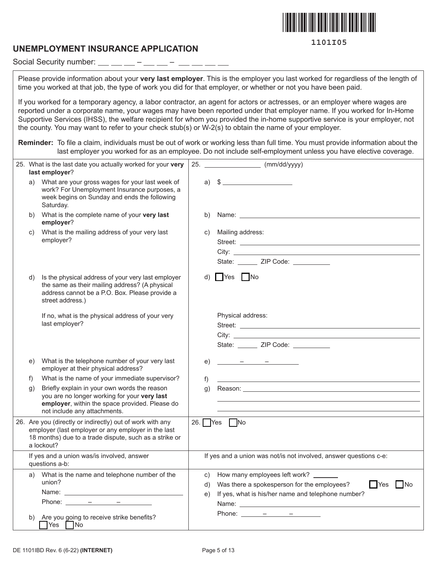

#### **UNEMPLOYMENT INSURANCE APPLICATION**

Social Security number:  $\frac{1}{1}$  =  $\frac{1}{1}$  =  $\frac{1}{1}$  =  $\frac{1}{1}$  =  $\frac{1}{1-\alpha} \frac{1}{1-\alpha} \frac{1}{1-\alpha} \frac{1}{1-\alpha} \frac{1}{1-\alpha} \frac{1}{1-\alpha} \frac{1}{1-\alpha} \frac{1}{1-\alpha} \frac{1}{1-\alpha} \frac{1}{1-\alpha} \frac{1}{1-\alpha} \frac{1}{1-\alpha} \frac{1}{1-\alpha} \frac{1}{1-\alpha} \frac{1}{1-\alpha} \frac{1}{1-\alpha} \frac{1}{1-\alpha} \frac{1}{1-\alpha} \frac{1}{1-\alpha} \frac{1}{1-\alpha} \frac{1}{1-\alpha} \frac{1}{1-\alpha} \frac{1}{1-\alpha} \frac{1}{1-\alpha} \frac{1$ 

Please provide information about your **very last employer**. This is the employer you last worked for regardless of the length of time you worked at that job, the type of work you did for that employer, or whether or not you have been paid.

If you worked for a temporary agency, a labor contractor, an agent for actors or actresses, or an employer where wages are reported under a corporate name, your wages may have been reported under that employer name. If you worked for In-Home Supportive Services (IHSS), the welfare recipient for whom you provided the in-home supportive service is your employer, not the county. You may want to refer to your check stub(s) or W-2(s) to obtain the name of your employer.

**Reminder:** To file a claim, individuals must be out of work or working less than full time. You must provide information about the last employer you worked for as an employee. Do not include self-employment unless you have elective coverage.

|                                                              | 25. What is the last date you actually worked for your very<br>last employer?                                                                                                                                                                                                                                                                                                                                                                                                                                                                                                                                                                                                                                                                                                                               | 25. |                  | $\frac{1}{2}$ (mm/dd/yyyy)                                                                                                                                                                                                     |
|--------------------------------------------------------------|-------------------------------------------------------------------------------------------------------------------------------------------------------------------------------------------------------------------------------------------------------------------------------------------------------------------------------------------------------------------------------------------------------------------------------------------------------------------------------------------------------------------------------------------------------------------------------------------------------------------------------------------------------------------------------------------------------------------------------------------------------------------------------------------------------------|-----|------------------|--------------------------------------------------------------------------------------------------------------------------------------------------------------------------------------------------------------------------------|
| a)                                                           | What are your gross wages for your last week of<br>work? For Unemployment Insurance purposes, a<br>week begins on Sunday and ends the following<br>Saturday.                                                                                                                                                                                                                                                                                                                                                                                                                                                                                                                                                                                                                                                |     |                  | a) $\frac{1}{2}$                                                                                                                                                                                                               |
| b)                                                           | What is the complete name of your very last<br>employer?                                                                                                                                                                                                                                                                                                                                                                                                                                                                                                                                                                                                                                                                                                                                                    |     | b)               |                                                                                                                                                                                                                                |
| C)                                                           | What is the mailing address of your very last<br>employer?                                                                                                                                                                                                                                                                                                                                                                                                                                                                                                                                                                                                                                                                                                                                                  |     | C)               | Mailing address:<br>State: ______ ZIP Code: _________                                                                                                                                                                          |
| d)                                                           | Is the physical address of your very last employer<br>the same as their mailing address? (A physical<br>address cannot be a P.O. Box. Please provide a<br>street address.)                                                                                                                                                                                                                                                                                                                                                                                                                                                                                                                                                                                                                                  |     | d)               | $\Box$ Yes $\Box$ No                                                                                                                                                                                                           |
|                                                              | If no, what is the physical address of your very<br>last employer?                                                                                                                                                                                                                                                                                                                                                                                                                                                                                                                                                                                                                                                                                                                                          |     |                  | Physical address:<br>State: ______ ZIP Code: _________                                                                                                                                                                         |
| e)                                                           | What is the telephone number of your very last<br>employer at their physical address?                                                                                                                                                                                                                                                                                                                                                                                                                                                                                                                                                                                                                                                                                                                       |     | e)               |                                                                                                                                                                                                                                |
| f)                                                           | What is the name of your immediate supervisor?                                                                                                                                                                                                                                                                                                                                                                                                                                                                                                                                                                                                                                                                                                                                                              |     | f)               |                                                                                                                                                                                                                                |
| $\mathfrak{g}$ )                                             | Briefly explain in your own words the reason<br>you are no longer working for your very last<br>employer, within the space provided. Please do<br>not include any attachments.                                                                                                                                                                                                                                                                                                                                                                                                                                                                                                                                                                                                                              |     | $\mathfrak{g}$ ) | Reason: The contract of the contract of the contract of the contract of the contract of the contract of the contract of the contract of the contract of the contract of the contract of the contract of the contract of the co |
|                                                              | 26. Are you (directly or indirectly) out of work with any<br>employer (last employer or any employer in the last<br>18 months) due to a trade dispute, such as a strike or<br>a lockout?                                                                                                                                                                                                                                                                                                                                                                                                                                                                                                                                                                                                                    |     |                  | 26. $Yes$ $No$                                                                                                                                                                                                                 |
| If yes and a union was/is involved, answer<br>questions a-b: |                                                                                                                                                                                                                                                                                                                                                                                                                                                                                                                                                                                                                                                                                                                                                                                                             |     |                  | If yes and a union was not/is not involved, answer questions c-e:                                                                                                                                                              |
| a)                                                           | What is the name and telephone number of the<br>union?<br>Name: Name: Name: Name: Name: Name: Name: Name: Name: Name: Name: Name: Name: Name: Name: Name: Name: Name: Name: Name: Name: Name: Name: Name: Name: Name: Name: Name: Name: Name: Name: Name: Name: Name: Name: Name: Name:<br>Phone: $\frac{\qquad \qquad - \qquad \qquad - \qquad \qquad - \qquad \qquad - \qquad \qquad }{\qquad \qquad - \qquad \qquad - \qquad \qquad - \qquad \qquad - \qquad \qquad - \qquad \qquad - \qquad \qquad - \qquad \qquad - \qquad \qquad - \qquad \qquad - \qquad \qquad - \qquad \qquad - \qquad \qquad - \qquad \qquad - \qquad \qquad - \qquad \qquad - \qquad \qquad - \qquad \qquad - \qquad \qquad - \qquad \qquad - \qquad \qquad - \qquad \qquad - \qquad \qquad - \qquad \qquad - \qquad \qquad - \$ |     | d)<br>e)         | c) How many employees left work? _______<br>Was there a spokesperson for the employees?<br>$\Box$ Yes<br>$\blacksquare$ No<br>If yes, what is his/her name and telephone number?<br>Phone: $ -$                                |
| b)                                                           | Are you going to receive strike benefits?<br>$\bigcap$ Yes $\bigcap$ No                                                                                                                                                                                                                                                                                                                                                                                                                                                                                                                                                                                                                                                                                                                                     |     |                  |                                                                                                                                                                                                                                |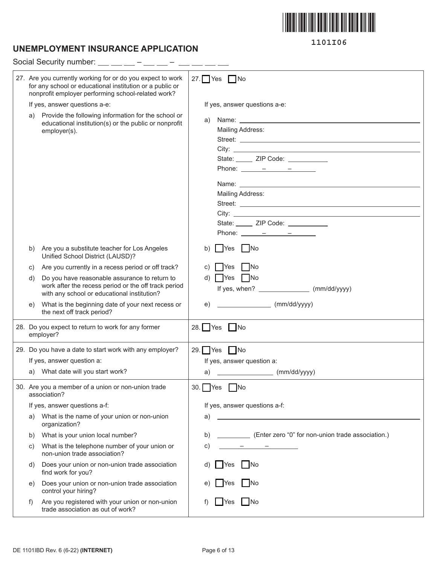

# **UNEMPLOYMENT INSURANCE APPLICATION**

|    | Social Security number:                                                                                                                                                      |                                                                                                                                                                                                                                                                                                                                                                                                                                                                                                                                                                                                                                                                                                                                                                                                                                                                                                                                                                                                                                                                                                     |
|----|------------------------------------------------------------------------------------------------------------------------------------------------------------------------------|-----------------------------------------------------------------------------------------------------------------------------------------------------------------------------------------------------------------------------------------------------------------------------------------------------------------------------------------------------------------------------------------------------------------------------------------------------------------------------------------------------------------------------------------------------------------------------------------------------------------------------------------------------------------------------------------------------------------------------------------------------------------------------------------------------------------------------------------------------------------------------------------------------------------------------------------------------------------------------------------------------------------------------------------------------------------------------------------------------|
|    | 27. Are you currently working for or do you expect to work<br>for any school or educational institution or a public or<br>nonprofit employer performing school-related work? | 27. $Yes$ No                                                                                                                                                                                                                                                                                                                                                                                                                                                                                                                                                                                                                                                                                                                                                                                                                                                                                                                                                                                                                                                                                        |
|    | If yes, answer questions a-e:                                                                                                                                                | If yes, answer questions a-e:                                                                                                                                                                                                                                                                                                                                                                                                                                                                                                                                                                                                                                                                                                                                                                                                                                                                                                                                                                                                                                                                       |
| a) | Provide the following information for the school or<br>educational institution(s) or the public or nonprofit<br>employer(s).                                                 | Name: Name: Name: Name: Name: Name: Name: Name: Name: Name: Name: Name: Name: Name: Name: Name: Name: Name: Name: Name: Name: Name: Name: Name: Name: Name: Name: Name: Name: Name: Name: Name: Name: Name: Name: Name: Name:<br>a)<br>Mailing Address:<br>State: _____ ZIP Code: __________<br>Phone: $\frac{\ }{\ }$ $\frac{\ }{\ }$ $\frac{\ }{\ }$ $\frac{\ }{\ }$ $\frac{\ }{\ }$ $\frac{\ }{\ }$ $\frac{\ }{\ }$<br>Name: Name and the state of the state of the state of the state of the state of the state of the state of the state of the state of the state of the state of the state of the state of the state of the state of the state of<br>Mailing Address:<br>Street: <u>Andreas Street:</u> Andreas Street: Andreas Street: Andreas Street: Andreas Street: Andreas Street: Andreas Street: Andreas Street: Andreas Street: Andreas Street: Andreas Street: Andreas Street: Andreas Street: Andr<br>State: ______ ZIP Code: __________<br>Phone: $\frac{\ }{\ }$ $\frac{\ }{\ }$ $\frac{\ }{\ }$ $\frac{\ }{\ }$ $\frac{\ }{\ }$ $\frac{\ }{\ }$ $\frac{\ }{\ }$ $\frac{\ }{\ }$ |
| b) | Are you a substitute teacher for Los Angeles<br>Unified School District (LAUSD)?                                                                                             | Yes<br>  No<br>b)                                                                                                                                                                                                                                                                                                                                                                                                                                                                                                                                                                                                                                                                                                                                                                                                                                                                                                                                                                                                                                                                                   |
| C) | Are you currently in a recess period or off track?                                                                                                                           | No<br>C)<br>Yes                                                                                                                                                                                                                                                                                                                                                                                                                                                                                                                                                                                                                                                                                                                                                                                                                                                                                                                                                                                                                                                                                     |
| d) | Do you have reasonable assurance to return to<br>work after the recess period or the off track period<br>with any school or educational institution?                         | $d)$   Yes   No                                                                                                                                                                                                                                                                                                                                                                                                                                                                                                                                                                                                                                                                                                                                                                                                                                                                                                                                                                                                                                                                                     |
| e) | What is the beginning date of your next recess or<br>the next off track period?                                                                                              | <u>and the company of the company of the company of the company of the company of the company of the company of the company of the company of the company of the company of the company of the company of the company of the com</u><br>(mm/dd/yyyy)<br>e)                                                                                                                                                                                                                                                                                                                                                                                                                                                                                                                                                                                                                                                                                                                                                                                                                                          |
|    | 28. Do you expect to return to work for any former<br>employer?                                                                                                              | 28. $Yes$ No                                                                                                                                                                                                                                                                                                                                                                                                                                                                                                                                                                                                                                                                                                                                                                                                                                                                                                                                                                                                                                                                                        |
|    | 29. Do you have a date to start work with any employer?                                                                                                                      | 29. $Yes$ No                                                                                                                                                                                                                                                                                                                                                                                                                                                                                                                                                                                                                                                                                                                                                                                                                                                                                                                                                                                                                                                                                        |
|    | If yes, answer question a:                                                                                                                                                   | If yes, answer question a:                                                                                                                                                                                                                                                                                                                                                                                                                                                                                                                                                                                                                                                                                                                                                                                                                                                                                                                                                                                                                                                                          |
|    | a) What date will you start work?                                                                                                                                            | $\begin{array}{ccc} \hline \end{array}$ (mm/dd/yyyy)<br>a)                                                                                                                                                                                                                                                                                                                                                                                                                                                                                                                                                                                                                                                                                                                                                                                                                                                                                                                                                                                                                                          |
|    | 30. Are you a member of a union or non-union trade<br>association?                                                                                                           | 30.<br>- IYes<br>-INo                                                                                                                                                                                                                                                                                                                                                                                                                                                                                                                                                                                                                                                                                                                                                                                                                                                                                                                                                                                                                                                                               |
|    | If yes, answer questions a-f:                                                                                                                                                | If yes, answer questions a-f:                                                                                                                                                                                                                                                                                                                                                                                                                                                                                                                                                                                                                                                                                                                                                                                                                                                                                                                                                                                                                                                                       |
| a) | What is the name of your union or non-union<br>organization?                                                                                                                 | the control of the control of the control of the control of the control of the control of<br>a)                                                                                                                                                                                                                                                                                                                                                                                                                                                                                                                                                                                                                                                                                                                                                                                                                                                                                                                                                                                                     |
| b) | What is your union local number?                                                                                                                                             | (Enter zero "0" for non-union trade association.)<br>b)                                                                                                                                                                                                                                                                                                                                                                                                                                                                                                                                                                                                                                                                                                                                                                                                                                                                                                                                                                                                                                             |
| C) | What is the telephone number of your union or<br>non-union trade association?                                                                                                | C)<br>$\sim$ 100 $\sim$ 100 $\sim$ 100 $\sim$                                                                                                                                                                                                                                                                                                                                                                                                                                                                                                                                                                                                                                                                                                                                                                                                                                                                                                                                                                                                                                                       |
| d) | Does your union or non-union trade association<br>find work for you?                                                                                                         | - INo<br>Yes                                                                                                                                                                                                                                                                                                                                                                                                                                                                                                                                                                                                                                                                                                                                                                                                                                                                                                                                                                                                                                                                                        |
| e) | Does your union or non-union trade association<br>control your hiring?                                                                                                       | -INo<br>Yes                                                                                                                                                                                                                                                                                                                                                                                                                                                                                                                                                                                                                                                                                                                                                                                                                                                                                                                                                                                                                                                                                         |
| f) | Are you registered with your union or non-union<br>trade association as out of work?                                                                                         | $\blacksquare$<br>Yes                                                                                                                                                                                                                                                                                                                                                                                                                                                                                                                                                                                                                                                                                                                                                                                                                                                                                                                                                                                                                                                                               |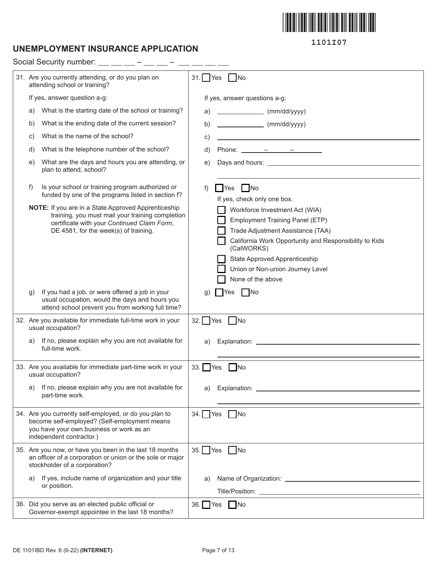

## **UNEMPLOYMENT INSURANCE APPLICATION**

**1101I07**

|    | Social Security number:                                                                                                                                                                         |             |                                                                                                                                                                                                                                                                                                                                                                                                                      |  |  |  |  |
|----|-------------------------------------------------------------------------------------------------------------------------------------------------------------------------------------------------|-------------|----------------------------------------------------------------------------------------------------------------------------------------------------------------------------------------------------------------------------------------------------------------------------------------------------------------------------------------------------------------------------------------------------------------------|--|--|--|--|
|    | 31. Are you currently attending, or do you plan on<br>attending school or training?                                                                                                             |             | $31.$ Yes<br>$\blacksquare$ No                                                                                                                                                                                                                                                                                                                                                                                       |  |  |  |  |
|    | If yes, answer question a-g:                                                                                                                                                                    |             | If yes, answer questions a-g:                                                                                                                                                                                                                                                                                                                                                                                        |  |  |  |  |
| a) | What is the starting date of the school or training?                                                                                                                                            | a)          | $\frac{1}{2}$ (mm/dd/yyyy)                                                                                                                                                                                                                                                                                                                                                                                           |  |  |  |  |
| b) | What is the ending date of the current session?                                                                                                                                                 | b)          | $\frac{1}{\sqrt{1-\frac{1}{2}}\sqrt{1-\frac{1}{2}}\sqrt{1-\frac{1}{2}}\sqrt{1-\frac{1}{2}}\sqrt{1-\frac{1}{2}}\sqrt{1-\frac{1}{2}}\sqrt{1-\frac{1}{2}}\sqrt{1-\frac{1}{2}}\sqrt{1-\frac{1}{2}}\sqrt{1-\frac{1}{2}}\sqrt{1-\frac{1}{2}}\sqrt{1-\frac{1}{2}}\sqrt{1-\frac{1}{2}}\sqrt{1-\frac{1}{2}}\sqrt{1-\frac{1}{2}}\sqrt{1-\frac{1}{2}}\sqrt{1-\frac{1}{2}}\sqrt{1-\frac{1}{2}}\sqrt{1-\frac{1}{2}}\sqrt{1-\frac$ |  |  |  |  |
| C) | What is the name of the school?                                                                                                                                                                 | c)          |                                                                                                                                                                                                                                                                                                                                                                                                                      |  |  |  |  |
| d) | What is the telephone number of the school?                                                                                                                                                     | d)          |                                                                                                                                                                                                                                                                                                                                                                                                                      |  |  |  |  |
| e) | What are the days and hours you are attending, or<br>plan to attend, school?                                                                                                                    | e)          |                                                                                                                                                                                                                                                                                                                                                                                                                      |  |  |  |  |
| f) | Is your school or training program authorized or<br>funded by one of the programs listed in section f?                                                                                          | f)          | $\blacksquare$ Yes $\blacksquare$ No<br>If yes, check only one box.                                                                                                                                                                                                                                                                                                                                                  |  |  |  |  |
|    | NOTE: If you are in a State Approved Apprenticeship<br>training, you must mail your training completion<br>certificate with your Continued Claim Form,<br>DE 4581, for the week(s) of training. |             | Workforce Investment Act (WIA)<br><b>Employment Training Panel (ETP)</b><br>Trade Adjustment Assistance (TAA)<br>California Work Opportunity and Responsibility to Kids<br>(CalWORKS)<br>State Approved Apprenticeship<br>Union or Non-union Journey Level<br>None of the above                                                                                                                                      |  |  |  |  |
| g) | If you had a job, or were offered a job in your<br>usual occupation, would the days and hours you<br>attend school prevent you from working full time?                                          | g)          | $\n  No\n$<br>I Yes                                                                                                                                                                                                                                                                                                                                                                                                  |  |  |  |  |
|    | 32. Are you available for immediate full-time work in your<br>usual occupation?                                                                                                                 |             | 32. $\Box$ Yes $\Box$ No                                                                                                                                                                                                                                                                                                                                                                                             |  |  |  |  |
| a) | If no, please explain why you are not available for<br>full-time work.                                                                                                                          | a)          |                                                                                                                                                                                                                                                                                                                                                                                                                      |  |  |  |  |
|    | 33. Are you available for immediate part-time work in your<br>usual occupation?                                                                                                                 | $33.$ $Yes$ | <b>INo</b>                                                                                                                                                                                                                                                                                                                                                                                                           |  |  |  |  |
| a) | If no, please explain why you are not available for<br>part-time work.                                                                                                                          | a)          |                                                                                                                                                                                                                                                                                                                                                                                                                      |  |  |  |  |
|    | 34. Are you currently self-employed, or do you plan to<br>become self-employed? (Self-employment means<br>you have your own business or work as an<br>independent contractor.)                  |             | 34. $\Box$ Yes $\Box$ No                                                                                                                                                                                                                                                                                                                                                                                             |  |  |  |  |
|    | 35. Are you now, or have you been in the last 18 months<br>an officer of a corporation or union or the sole or major<br>stockholder of a corporation?                                           |             | 35. Yes No                                                                                                                                                                                                                                                                                                                                                                                                           |  |  |  |  |
|    | a) If yes, include name of organization and your title<br>or position.                                                                                                                          | a)          |                                                                                                                                                                                                                                                                                                                                                                                                                      |  |  |  |  |
|    | 36. Did you serve as an elected public official or                                                                                                                                              |             | 36. Yes No                                                                                                                                                                                                                                                                                                                                                                                                           |  |  |  |  |
|    | Governor-exempt appointee in the last 18 months?                                                                                                                                                |             |                                                                                                                                                                                                                                                                                                                                                                                                                      |  |  |  |  |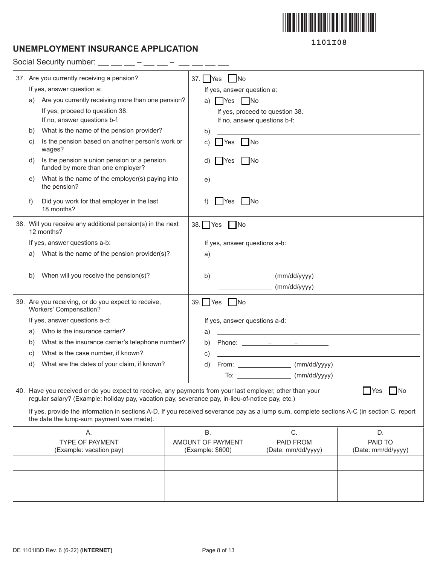

# **UNEMPLOYMENT INSURANCE APPLICATION**

Social Security number:  $-$  – – –

| 37. Are you currently receiving a pension? |                                                                                                                                                                                                              |  | $37.$ Yes | No                            |                                                                                                                       |                    |
|--------------------------------------------|--------------------------------------------------------------------------------------------------------------------------------------------------------------------------------------------------------------|--|-----------|-------------------------------|-----------------------------------------------------------------------------------------------------------------------|--------------------|
|                                            | If yes, answer question a:                                                                                                                                                                                   |  |           | If yes, answer question a:    |                                                                                                                       |                    |
| a)                                         | Are you currently receiving more than one pension?                                                                                                                                                           |  | a)        | <b>TYes</b> No                |                                                                                                                       |                    |
|                                            | If yes, proceed to question 38.                                                                                                                                                                              |  |           |                               | If yes, proceed to question 38.                                                                                       |                    |
|                                            | If no, answer questions b-f:                                                                                                                                                                                 |  |           |                               | If no, answer questions b-f:                                                                                          |                    |
| b)                                         | What is the name of the pension provider?                                                                                                                                                                    |  | b)        |                               |                                                                                                                       |                    |
| C)                                         | Is the pension based on another person's work or<br>wages?                                                                                                                                                   |  | C)        | $\Box$ No<br><b>Yes</b>       |                                                                                                                       |                    |
| d)                                         | Is the pension a union pension or a pension<br>funded by more than one employer?                                                                                                                             |  | d)        | No<br>Yes                     |                                                                                                                       |                    |
| e)                                         | What is the name of the employer(s) paying into<br>the pension?                                                                                                                                              |  | e)        |                               | the control of the control of the control of the control of the control of the control of                             |                    |
| f)                                         | Did you work for that employer in the last<br>18 months?                                                                                                                                                     |  |           | - No<br><b>Yes</b>            |                                                                                                                       |                    |
|                                            | 38. Will you receive any additional pension(s) in the next<br>12 months?                                                                                                                                     |  |           | 38. $Yes$ No                  |                                                                                                                       |                    |
|                                            | If yes, answer questions a-b:                                                                                                                                                                                |  |           | If yes, answer questions a-b: |                                                                                                                       |                    |
| a)                                         | What is the name of the pension provider(s)?                                                                                                                                                                 |  | a)        |                               | <u> 1989 - Johann John Stone, meil in der Stone aus der Stone aus der Stone aus der Stone aus der Stone aus der S</u> |                    |
|                                            |                                                                                                                                                                                                              |  |           |                               |                                                                                                                       |                    |
| b)                                         | When will you receive the pension(s)?                                                                                                                                                                        |  | b)        |                               | (mm/dd/yyyy)                                                                                                          |                    |
|                                            |                                                                                                                                                                                                              |  |           |                               | $\frac{1}{\text{mm}}$ (mm/dd/yyyy)                                                                                    |                    |
|                                            | 39. Are you receiving, or do you expect to receive,<br>Workers' Compensation?                                                                                                                                |  |           | 39. Yes No                    |                                                                                                                       |                    |
|                                            | If yes, answer questions a-d:                                                                                                                                                                                |  |           | If yes, answer questions a-d: |                                                                                                                       |                    |
| a)                                         | Who is the insurance carrier?                                                                                                                                                                                |  | a)        |                               |                                                                                                                       |                    |
| b)                                         | What is the insurance carrier's telephone number?                                                                                                                                                            |  | b)        |                               |                                                                                                                       |                    |
| C)                                         | What is the case number, if known?                                                                                                                                                                           |  | C)        |                               | <u> 1989 - Johann Barbara, markazi bashkar a shekara ta 1989 - André a shekara ta 1989 - André a shekara ta 198</u>   |                    |
| d)                                         | What are the dates of your claim, if known?                                                                                                                                                                  |  | d)        |                               | From: ____________________ (mm/dd/yyyy)                                                                               |                    |
|                                            |                                                                                                                                                                                                              |  |           |                               | To: _________________________ (mm/dd/yyyy)                                                                            |                    |
|                                            | 40. Have you received or do you expect to receive, any payments from your last employer, other than your<br>regular salary? (Example: holiday pay, vacation pay, severance pay, in-lieu-of-notice pay, etc.) |  |           |                               |                                                                                                                       | $\Box$ No<br>Yes   |
|                                            | If yes, provide the information in sections A-D. If you received severance pay as a lump sum, complete sections A-C (in section C, report<br>the date the lump-sum payment was made).                        |  |           |                               |                                                                                                                       |                    |
|                                            | Α.                                                                                                                                                                                                           |  | <b>B.</b> |                               | C.                                                                                                                    | D.                 |
|                                            | <b>TYPE OF PAYMENT</b>                                                                                                                                                                                       |  |           | AMOUNT OF PAYMENT             | PAID FROM                                                                                                             | PAID TO            |
|                                            | (Example: vacation pay)                                                                                                                                                                                      |  |           | (Example: \$600)              | (Date: mm/dd/yyyy)                                                                                                    | (Date: mm/dd/yyyy) |
|                                            |                                                                                                                                                                                                              |  |           |                               |                                                                                                                       |                    |
|                                            |                                                                                                                                                                                                              |  |           |                               |                                                                                                                       |                    |
|                                            |                                                                                                                                                                                                              |  |           |                               |                                                                                                                       |                    |
|                                            |                                                                                                                                                                                                              |  |           |                               |                                                                                                                       |                    |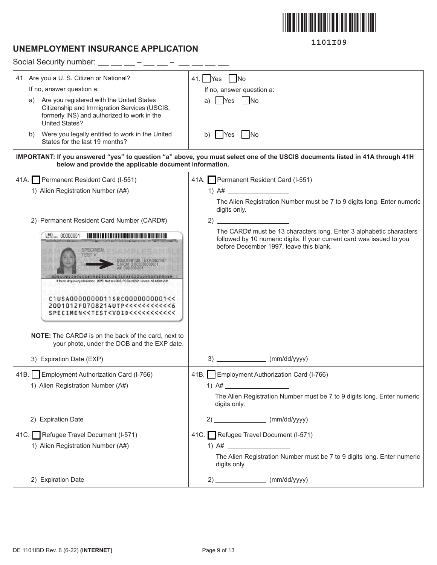

# **UNEMPLOYMENT INSURANCE APPLICATION**

| Social Security number: $\_\_$ $\_\_$ $\_\_$ - $\_\_$ -                                                                                                                |                                                                                                                                                                                         |
|------------------------------------------------------------------------------------------------------------------------------------------------------------------------|-----------------------------------------------------------------------------------------------------------------------------------------------------------------------------------------|
| 41. Are you a U. S. Citizen or National?                                                                                                                               | 41. $Yes$ No                                                                                                                                                                            |
| If no, answer question a:                                                                                                                                              | If no, answer question a:                                                                                                                                                               |
| a) Are you registered with the United States<br>Citizenship and Immigration Services (USCIS,<br>formerly INS) and authorized to work in the<br><b>United States?</b>   | <b>T</b> Yes<br>No.<br>a)                                                                                                                                                               |
| b) Were you legally entitled to work in the United<br>States for the last 19 months?                                                                                   | <b>Yes</b><br>$\overline{\phantom{a}}$ No<br>b)                                                                                                                                         |
| below and provide the applicable document information.                                                                                                                 | IMPORTANT: If you answered "yes" to question "a" above, you must select one of the USCIS documents listed in 41A through 41H                                                            |
| 41A. Permanent Resident Card (I-551)                                                                                                                                   | 41A. Permanent Resident Card (I-551)                                                                                                                                                    |
| 1) Alien Registration Number (A#)                                                                                                                                      | 1) $A#$                                                                                                                                                                                 |
|                                                                                                                                                                        | The Alien Registration Number must be 7 to 9 digits long. Enter numeric<br>digits only.                                                                                                 |
| 2) Permanent Resident Card Number (CARD#)                                                                                                                              |                                                                                                                                                                                         |
| $1.551$ 00000001<br>f found, drep in any US Mailtion. USPS: Mail to USCIS, PO Bux S2521. Lincoln, NE<br>C1USA0000000011SRC0000000001<<<br>2001012F0708214UTP<<<<<<<<<< | The CARD# must be 13 characters long. Enter 3 alphabetic characters<br>followed by 10 numeric digits. If your current card was issued to you<br>before December 1997, leave this blank. |
| <b>NOTE:</b> The CARD# is on the back of the card, next to<br>your photo, under the DOB and the EXP date.                                                              |                                                                                                                                                                                         |
| 3) Expiration Date (EXP)                                                                                                                                               | 3)<br>(mm/dd/yyyy)                                                                                                                                                                      |
| 41B. Employment Authorization Card (I-766)<br>1) Alien Registration Number (A#)                                                                                        | 41B. Employment Authorization Card (I-766)<br>1) $A#$<br>The Alien Registration Number must be 7 to 9 digits long. Enter numeric<br>digits only.                                        |
| 2) Expiration Date                                                                                                                                                     | $2)$ (mm/dd/yyyy)                                                                                                                                                                       |
| 41C. Refugee Travel Document (I-571)<br>1) Alien Registration Number (A#)                                                                                              | 41C. Refugee Travel Document (I-571)<br>The Alien Registration Number must be 7 to 9 digits long. Enter numeric<br>digits only.                                                         |
| 2) Expiration Date                                                                                                                                                     | $2)$ (mm/dd/yyyy)                                                                                                                                                                       |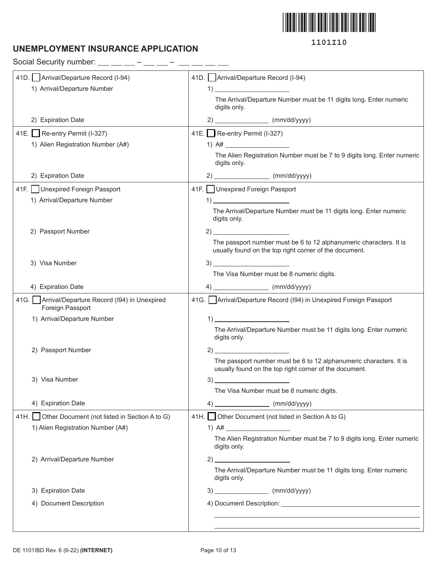

# **UNEMPLOYMENT INSURANCE APPLICATION**

Social Security number:  $\_\_$   $\_\_$   $\_\_$   $\_$ 

| 41D. Arrival/Departure Record (I-94)                                   | 41D. Arrival/Departure Record (I-94)                                                                                                                                                                                                                                                                                                                                                                                                                                                                                                               |
|------------------------------------------------------------------------|----------------------------------------------------------------------------------------------------------------------------------------------------------------------------------------------------------------------------------------------------------------------------------------------------------------------------------------------------------------------------------------------------------------------------------------------------------------------------------------------------------------------------------------------------|
| 1) Arrival/Departure Number                                            | $\left( \begin{array}{c} 1 \end{array} \right)$                                                                                                                                                                                                                                                                                                                                                                                                                                                                                                    |
|                                                                        | The Arrival/Departure Number must be 11 digits long. Enter numeric<br>digits only.                                                                                                                                                                                                                                                                                                                                                                                                                                                                 |
| 2) Expiration Date                                                     | $2)$ (mm/dd/yyyy)                                                                                                                                                                                                                                                                                                                                                                                                                                                                                                                                  |
| 41E. Re-entry Permit (I-327)                                           | 41E. Re-entry Permit (I-327)                                                                                                                                                                                                                                                                                                                                                                                                                                                                                                                       |
| 1) Alien Registration Number (A#)                                      |                                                                                                                                                                                                                                                                                                                                                                                                                                                                                                                                                    |
|                                                                        | The Alien Registration Number must be 7 to 9 digits long. Enter numeric<br>digits only.                                                                                                                                                                                                                                                                                                                                                                                                                                                            |
| 2) Expiration Date                                                     | $2)$ (mm/dd/yyyy)                                                                                                                                                                                                                                                                                                                                                                                                                                                                                                                                  |
| 41F. Unexpired Foreign Passport                                        | 41F. Unexpired Foreign Passport                                                                                                                                                                                                                                                                                                                                                                                                                                                                                                                    |
| 1) Arrival/Departure Number                                            | $\overline{1}$ $\overline{1}$ $\overline{1}$ $\overline{1}$ $\overline{1}$ $\overline{1}$ $\overline{1}$ $\overline{1}$ $\overline{1}$ $\overline{1}$ $\overline{1}$ $\overline{1}$ $\overline{1}$ $\overline{1}$ $\overline{1}$ $\overline{1}$ $\overline{1}$ $\overline{1}$ $\overline{1}$ $\overline{1}$ $\overline{1}$ $\overline{1}$ $\overline{1}$ $\overline{1}$ $\overline{$                                                                                                                                                               |
|                                                                        | The Arrival/Departure Number must be 11 digits long. Enter numeric<br>digits only.                                                                                                                                                                                                                                                                                                                                                                                                                                                                 |
| 2) Passport Number                                                     | $2)$ $\overline{\phantom{a}}$                                                                                                                                                                                                                                                                                                                                                                                                                                                                                                                      |
|                                                                        | The passport number must be 6 to 12 alphanumeric characters. It is<br>usually found on the top right corner of the document.                                                                                                                                                                                                                                                                                                                                                                                                                       |
| 3) Visa Number                                                         | $3)$ and $\overline{\phantom{a}}$ and $\overline{\phantom{a}}$ and $\overline{\phantom{a}}$ and $\overline{\phantom{a}}$ and $\overline{\phantom{a}}$ and $\overline{\phantom{a}}$ and $\overline{\phantom{a}}$ and $\overline{\phantom{a}}$ and $\overline{\phantom{a}}$ and $\overline{\phantom{a}}$ and $\overline{\phantom{a}}$ and $\overline{\phantom{a}}$ and $\overline{\phantom{a}}$ and $\overline$                                                                                                                                      |
|                                                                        | The Visa Number must be 8 numeric digits.                                                                                                                                                                                                                                                                                                                                                                                                                                                                                                          |
| 4) Expiration Date                                                     | $4)$ (mm/dd/yyyy)                                                                                                                                                                                                                                                                                                                                                                                                                                                                                                                                  |
| 41G.   Arrival/Departure Record (194) in Unexpired<br>Foreign Passport | 41G. Arrival/Departure Record (194) in Unexpired Foreign Passport                                                                                                                                                                                                                                                                                                                                                                                                                                                                                  |
| 1) Arrival/Departure Number                                            | $\begin{array}{c} \n 1) \quad \text{---} \quad \text{---} \quad \text{---} \quad \text{---} \quad \text{---} \quad \text{---} \quad \text{---} \quad \text{---} \quad \text{---} \quad \text{---} \quad \text{---} \quad \text{---} \quad \text{---} \quad \text{---} \quad \text{---} \quad \text{---} \quad \text{---} \quad \text{---} \quad \text{---} \quad \text{---} \quad \text{---} \quad \text{---} \quad \text{---} \quad \text{---} \quad \text{---} \quad \text{---} \quad \text{---} \quad \text{---} \quad \text{---} \quad \text{$ |
|                                                                        | The Arrival/Departure Number must be 11 digits long. Enter numeric<br>digits only.                                                                                                                                                                                                                                                                                                                                                                                                                                                                 |
| 2) Passport Number                                                     | 2)                                                                                                                                                                                                                                                                                                                                                                                                                                                                                                                                                 |
|                                                                        | The passport number must be 6 to 12 alphanumeric characters. It is<br>usually found on the top right corner of the document.                                                                                                                                                                                                                                                                                                                                                                                                                       |
| 3) Visa Number                                                         | 3)                                                                                                                                                                                                                                                                                                                                                                                                                                                                                                                                                 |
|                                                                        | The Visa Number must be 8 numeric digits.                                                                                                                                                                                                                                                                                                                                                                                                                                                                                                          |
| 4) Expiration Date                                                     | $4)$ (mm/dd/yyyy)                                                                                                                                                                                                                                                                                                                                                                                                                                                                                                                                  |
| 41H. Other Document (not listed in Section A to G)                     | 41H. Other Document (not listed in Section A to G)                                                                                                                                                                                                                                                                                                                                                                                                                                                                                                 |
| 1) Alien Registration Number (A#)                                      | 1) $A#$                                                                                                                                                                                                                                                                                                                                                                                                                                                                                                                                            |
|                                                                        | The Alien Registration Number must be 7 to 9 digits long. Enter numeric<br>digits only.                                                                                                                                                                                                                                                                                                                                                                                                                                                            |
| 2) Arrival/Departure Number                                            | $\sim$ 2)                                                                                                                                                                                                                                                                                                                                                                                                                                                                                                                                          |
|                                                                        | The Arrival/Departure Number must be 11 digits long. Enter numeric<br>digits only.                                                                                                                                                                                                                                                                                                                                                                                                                                                                 |
| 3) Expiration Date                                                     | $3)$ (mm/dd/yyyy)                                                                                                                                                                                                                                                                                                                                                                                                                                                                                                                                  |
| 4) Document Description                                                |                                                                                                                                                                                                                                                                                                                                                                                                                                                                                                                                                    |
|                                                                        |                                                                                                                                                                                                                                                                                                                                                                                                                                                                                                                                                    |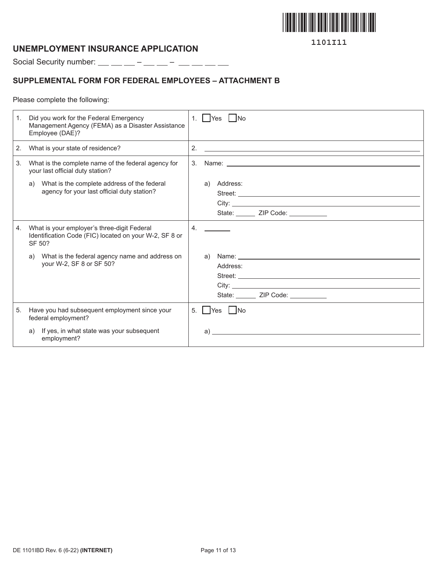

## **UNEMPLOYMENT INSURANCE APPLICATION**

Social Security number:  $\_\_$   $\_\_$  –  $\_\_$  –  $\_\_$  –  $\_\_$  –  $\_\_$ 

## **SUPPLEMENTAL FORM FOR FEDERAL EMPLOYEES – ATTACHMENT B**

Please complete the following:

| 1. | Did you work for the Federal Emergency<br>Management Agency (FEMA) as a Disaster Assistance<br>Employee (DAE)?  | 1. $\vert$ Yes $\vert$ No                                                                                                                                                                                                                                                             |
|----|-----------------------------------------------------------------------------------------------------------------|---------------------------------------------------------------------------------------------------------------------------------------------------------------------------------------------------------------------------------------------------------------------------------------|
| 2. | What is your state of residence?                                                                                | 2.<br><u> 1989 - Jan Sterling Sterling (d. 1989)</u>                                                                                                                                                                                                                                  |
| 3. | What is the complete name of the federal agency for<br>your last official duty station?                         |                                                                                                                                                                                                                                                                                       |
|    | What is the complete address of the federal<br>a)<br>agency for your last official duty station?                | a)<br>Address:<br>State: ______ ZIP Code: __________                                                                                                                                                                                                                                  |
| 4. | What is your employer's three-digit Federal<br>Identification Code (FIC) located on your W-2, SF 8 or<br>SF 50? | 4.                                                                                                                                                                                                                                                                                    |
|    | What is the federal agency name and address on<br>a)<br>your W-2, SF 8 or SF 50?                                | Name: Name: 2008 and 2008 and 2008 and 2008 and 2008 and 2008 and 2008 and 2008 and 2008 and 2008 and 2008 and 2008 and 2008 and 2008 and 2008 and 2008 and 2008 and 2008 and 2008 and 2008 and 2008 and 2008 and 2008 and 200<br>a)<br>Address:<br>State: ______ ZIP Code: _________ |
| 5. | Have you had subsequent employment since your<br>federal employment?                                            | Yes   No<br>5.                                                                                                                                                                                                                                                                        |
|    | If yes, in what state was your subsequent<br>a)<br>employment?                                                  | $\alpha$ )                                                                                                                                                                                                                                                                            |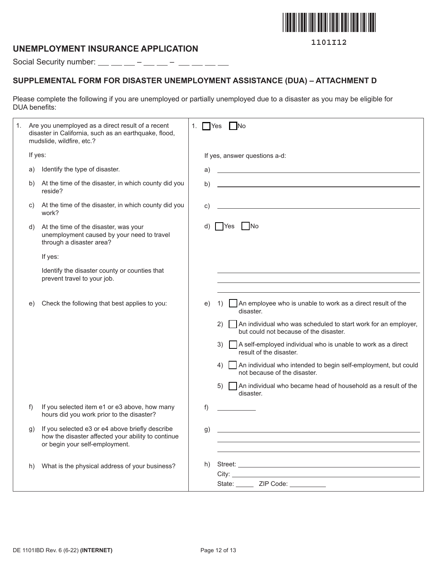

## **UNEMPLOYMENT INSURANCE APPLICATION**

Social Security number:  $\_\_$   $\_\_$  –  $\_\_$  –  $\_\_$  –  $\_\_$  –  $\_\_$ 

# **SUPPLEMENTAL FORM FOR DISASTER UNEMPLOYMENT ASSISTANCE (DUA) – ATTACHMENT D**

Please complete the following if you are unemployed or partially unemployed due to a disaster as you may be eligible for DUA benefits:

| 1. |         | Are you unemployed as a direct result of a recent<br>disaster in California, such as an earthquake, flood,<br>mudslide, wildfire, etc.? | 1. | N <sub>o</sub><br>  Yes                                                                                                                                                                                                                                               |
|----|---------|-----------------------------------------------------------------------------------------------------------------------------------------|----|-----------------------------------------------------------------------------------------------------------------------------------------------------------------------------------------------------------------------------------------------------------------------|
|    | If yes: |                                                                                                                                         |    | If yes, answer questions a-d:                                                                                                                                                                                                                                         |
|    | a)      | Identify the type of disaster.                                                                                                          | a) | <u> 1989 - Johann Barn, amerikansk politiker (d. 1989)</u>                                                                                                                                                                                                            |
|    | b)      | At the time of the disaster, in which county did you<br>reside?                                                                         | b) |                                                                                                                                                                                                                                                                       |
|    | C)      | At the time of the disaster, in which county did you<br>work?                                                                           | C) | <u> 1989 - Johann Stein, mars an de Britannich (b. 1989)</u>                                                                                                                                                                                                          |
|    | d)      | At the time of the disaster, was your<br>unemployment caused by your need to travel<br>through a disaster area?                         |    | <b>No</b><br><b>P</b> Yes                                                                                                                                                                                                                                             |
|    |         | If yes:                                                                                                                                 |    |                                                                                                                                                                                                                                                                       |
|    |         | Identify the disaster county or counties that<br>prevent travel to your job.                                                            |    | <u> 1989 - Johann Stein, mars an deus an deus Amerikaansk kommunister (* 1958)</u>                                                                                                                                                                                    |
|    | e)      | Check the following that best applies to you:                                                                                           | e) | $\Box$ An employee who is unable to work as a direct result of the<br>1)<br>disaster.                                                                                                                                                                                 |
|    |         |                                                                                                                                         |    | An individual who was scheduled to start work for an employer,<br>(2)<br>but could not because of the disaster.                                                                                                                                                       |
|    |         |                                                                                                                                         |    | A self-employed individual who is unable to work as a direct<br>3)<br>result of the disaster.                                                                                                                                                                         |
|    |         |                                                                                                                                         |    | An individual who intended to begin self-employment, but could<br>4)<br>not because of the disaster.                                                                                                                                                                  |
|    |         |                                                                                                                                         |    | An individual who became head of household as a result of the<br>5)<br>disaster.                                                                                                                                                                                      |
|    | f)      | If you selected item e1 or e3 above, how many<br>hours did you work prior to the disaster?                                              | f) |                                                                                                                                                                                                                                                                       |
|    | g)      | If you selected e3 or e4 above briefly describe<br>how the disaster affected your ability to continue<br>or begin your self-employment. | g) |                                                                                                                                                                                                                                                                       |
|    | h)      | What is the physical address of your business?                                                                                          | h) | City: the contract of the contract of the contract of the contract of the contract of the contract of the contract of the contract of the contract of the contract of the contract of the contract of the contract of the cont<br>State: _______ ZIP Code: __________ |